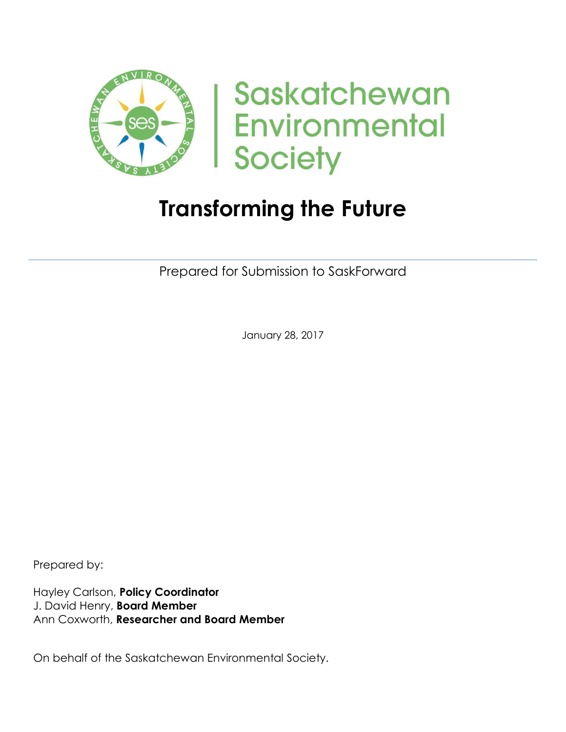

Saskatchewan **Environmental Society** 

# **Transforming the Future**

Prepared for Submission to SaskForward

January 28, 2017

Prepared by:

Hayley Carlson, **Policy Coordinator** J. David Henry, **Board Member** Ann Coxworth, **Researcher and Board Member**

On behalf of the Saskatchewan Environmental Society.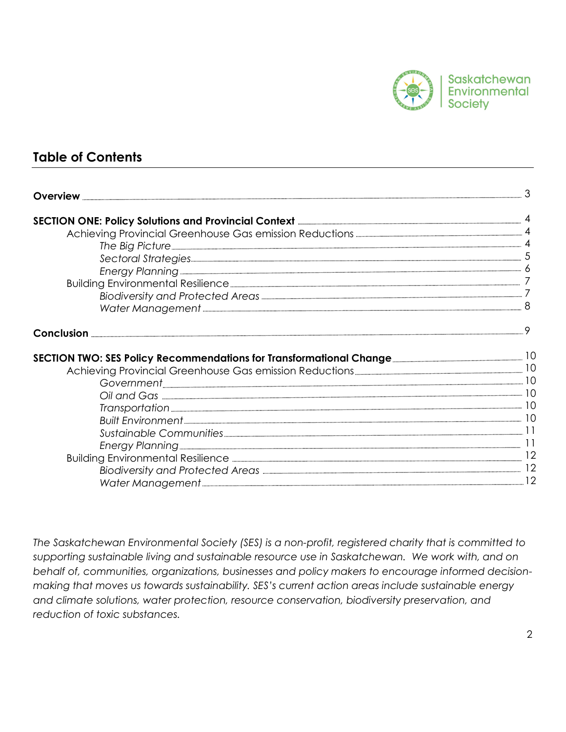

### **Table of Contents**

| <b>Overview</b>                                                                                                                                               |  |
|---------------------------------------------------------------------------------------------------------------------------------------------------------------|--|
| SECTION ONE: Policy Solutions and Provincial Context <b>Election Context and SECTION</b> ONE: Policy Solutions and Provincial Context <b>Election Context</b> |  |
| Achieving Provincial Greenhouse Gas emission Reductions <b>Elections</b> 24                                                                                   |  |
|                                                                                                                                                               |  |
|                                                                                                                                                               |  |
| Energy Planning <b>Construction Control Construction</b> 6                                                                                                    |  |
|                                                                                                                                                               |  |
|                                                                                                                                                               |  |
| Water Management <u>Communications</u> 8                                                                                                                      |  |
|                                                                                                                                                               |  |
| SECTION TWO: SES Policy Recommendations for Transformational Change                                                                                           |  |
|                                                                                                                                                               |  |
|                                                                                                                                                               |  |
|                                                                                                                                                               |  |
|                                                                                                                                                               |  |
|                                                                                                                                                               |  |
|                                                                                                                                                               |  |
|                                                                                                                                                               |  |
|                                                                                                                                                               |  |
|                                                                                                                                                               |  |
|                                                                                                                                                               |  |

*The Saskatchewan Environmental Society (SES) is a non-profit, registered charity that is committed to supporting sustainable living and sustainable resource use in Saskatchewan. We work with, and on behalf of, communities, organizations, businesses and policy makers to encourage informed decisionmaking that moves us towards sustainability. SES's current action areas include sustainable energy and climate solutions, water protection, resource conservation, biodiversity preservation, and reduction of toxic substances.*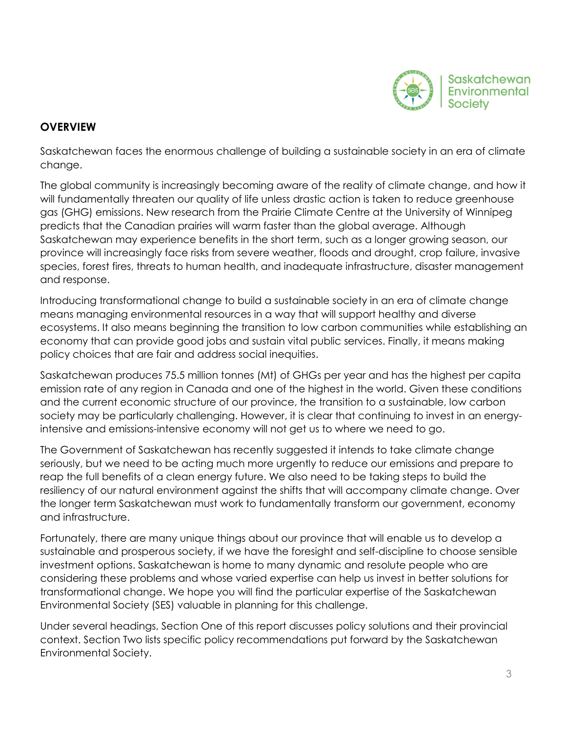

### **OVERVIEW**

Saskatchewan faces the enormous challenge of building a sustainable society in an era of climate change.

The global community is increasingly becoming aware of the reality of climate change, and how it will fundamentally threaten our quality of life unless drastic action is taken to reduce greenhouse gas (GHG) emissions. New research from the Prairie Climate Centre at the University of Winnipeg predicts that the Canadian prairies will warm faster than the global average. Although Saskatchewan may experience benefits in the short term, such as a longer growing season, our province will increasingly face risks from severe weather, floods and drought, crop failure, invasive species, forest fires, threats to human health, and inadequate infrastructure, disaster management and response.

Introducing transformational change to build a sustainable society in an era of climate change means managing environmental resources in a way that will support healthy and diverse ecosystems. It also means beginning the transition to low carbon communities while establishing an economy that can provide good jobs and sustain vital public services. Finally, it means making policy choices that are fair and address social inequities.

Saskatchewan produces 75.5 million tonnes (Mt) of GHGs per year and has the highest per capita emission rate of any region in Canada and one of the highest in the world. Given these conditions and the current economic structure of our province, the transition to a sustainable, low carbon society may be particularly challenging. However, it is clear that continuing to invest in an energyintensive and emissions-intensive economy will not get us to where we need to go.

The Government of Saskatchewan has recently suggested it intends to take climate change seriously, but we need to be acting much more urgently to reduce our emissions and prepare to reap the full benefits of a clean energy future. We also need to be taking steps to build the resiliency of our natural environment against the shifts that will accompany climate change. Over the longer term Saskatchewan must work to fundamentally transform our government, economy and infrastructure.

Fortunately, there are many unique things about our province that will enable us to develop a sustainable and prosperous society, if we have the foresight and self-discipline to choose sensible investment options. Saskatchewan is home to many dynamic and resolute people who are considering these problems and whose varied expertise can help us invest in better solutions for transformational change. We hope you will find the particular expertise of the Saskatchewan Environmental Society (SES) valuable in planning for this challenge.

Under several headings, Section One of this report discusses policy solutions and their provincial context. Section Two lists specific policy recommendations put forward by the Saskatchewan Environmental Society.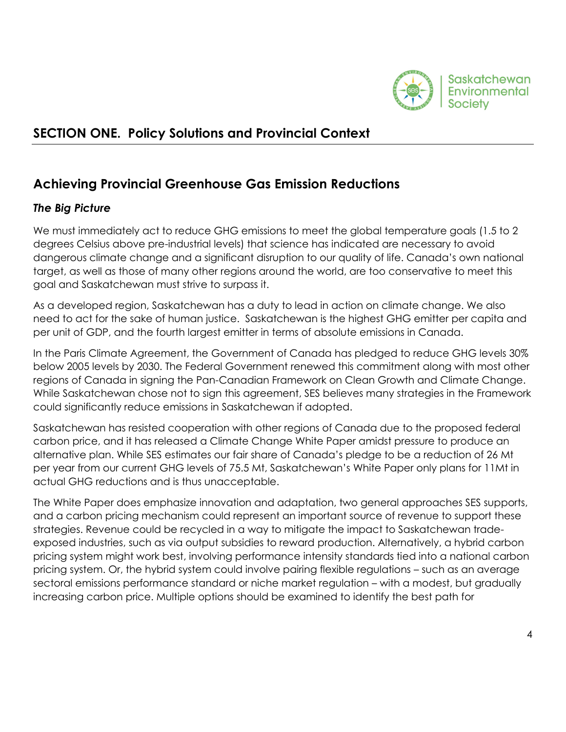

# **SECTION ONE. Policy Solutions and Provincial Context**

# **Achieving Provincial Greenhouse Gas Emission Reductions**

### *The Big Picture*

We must immediately act to reduce GHG emissions to meet the global temperature goals (1.5 to 2 degrees Celsius above pre-industrial levels) that science has indicated are necessary to avoid dangerous climate change and a significant disruption to our quality of life. Canada's own national target, as well as those of many other regions around the world, are too conservative to meet this goal and Saskatchewan must strive to surpass it.

As a developed region, Saskatchewan has a duty to lead in action on climate change. We also need to act for the sake of human justice. Saskatchewan is the highest GHG emitter per capita and per unit of GDP, and the fourth largest emitter in terms of absolute emissions in Canada.

In the Paris Climate Agreement, the Government of Canada has pledged to reduce GHG levels 30% below 2005 levels by 2030. The Federal Government renewed this commitment along with most other regions of Canada in signing the Pan-Canadian Framework on Clean Growth and Climate Change. While Saskatchewan chose not to sign this agreement, SES believes many strategies in the Framework could significantly reduce emissions in Saskatchewan if adopted.

Saskatchewan has resisted cooperation with other regions of Canada due to the proposed federal carbon price, and it has released a Climate Change White Paper amidst pressure to produce an alternative plan. While SES estimates our fair share of Canada's pledge to be a reduction of 26 Mt per year from our current GHG levels of 75.5 Mt, Saskatchewan's White Paper only plans for 11Mt in actual GHG reductions and is thus unacceptable.

The White Paper does emphasize innovation and adaptation, two general approaches SES supports, and a carbon pricing mechanism could represent an important source of revenue to support these strategies. Revenue could be recycled in a way to mitigate the impact to Saskatchewan tradeexposed industries, such as via output subsidies to reward production. Alternatively, a hybrid carbon pricing system might work best, involving performance intensity standards tied into a national carbon pricing system. Or, the hybrid system could involve pairing flexible regulations – such as an average sectoral emissions performance standard or niche market regulation – with a modest, but gradually increasing carbon price. Multiple options should be examined to identify the best path for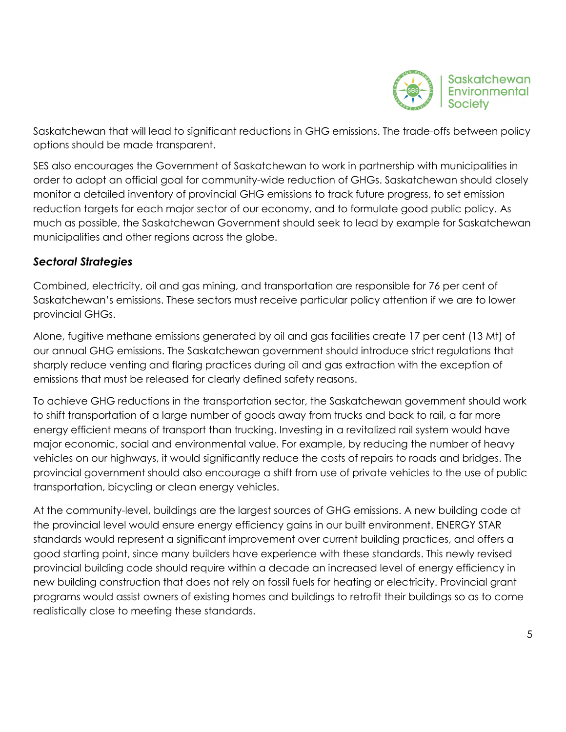

Saskatchewan that will lead to significant reductions in GHG emissions. The trade-offs between policy options should be made transparent.

SES also encourages the Government of Saskatchewan to work in partnership with municipalities in order to adopt an official goal for community-wide reduction of GHGs. Saskatchewan should closely monitor a detailed inventory of provincial GHG emissions to track future progress, to set emission reduction targets for each major sector of our economy, and to formulate good public policy. As much as possible, the Saskatchewan Government should seek to lead by example for Saskatchewan municipalities and other regions across the globe.

### *Sectoral Strategies*

Combined, electricity, oil and gas mining, and transportation are responsible for 76 per cent of Saskatchewan's emissions. These sectors must receive particular policy attention if we are to lower provincial GHGs.

Alone, fugitive methane emissions generated by oil and gas facilities create 17 per cent (13 Mt) of our annual GHG emissions. The Saskatchewan government should introduce strict regulations that sharply reduce venting and flaring practices during oil and gas extraction with the exception of emissions that must be released for clearly defined safety reasons.

To achieve GHG reductions in the transportation sector, the Saskatchewan government should work to shift transportation of a large number of goods away from trucks and back to rail, a far more energy efficient means of transport than trucking. Investing in a revitalized rail system would have major economic, social and environmental value. For example, by reducing the number of heavy vehicles on our highways, it would significantly reduce the costs of repairs to roads and bridges. The provincial government should also encourage a shift from use of private vehicles to the use of public transportation, bicycling or clean energy vehicles.

At the community-level, buildings are the largest sources of GHG emissions. A new building code at the provincial level would ensure energy efficiency gains in our built environment. ENERGY STAR standards would represent a significant improvement over current building practices, and offers a good starting point, since many builders have experience with these standards. This newly revised provincial building code should require within a decade an increased level of energy efficiency in new building construction that does not rely on fossil fuels for heating or electricity. Provincial grant programs would assist owners of existing homes and buildings to retrofit their buildings so as to come realistically close to meeting these standards.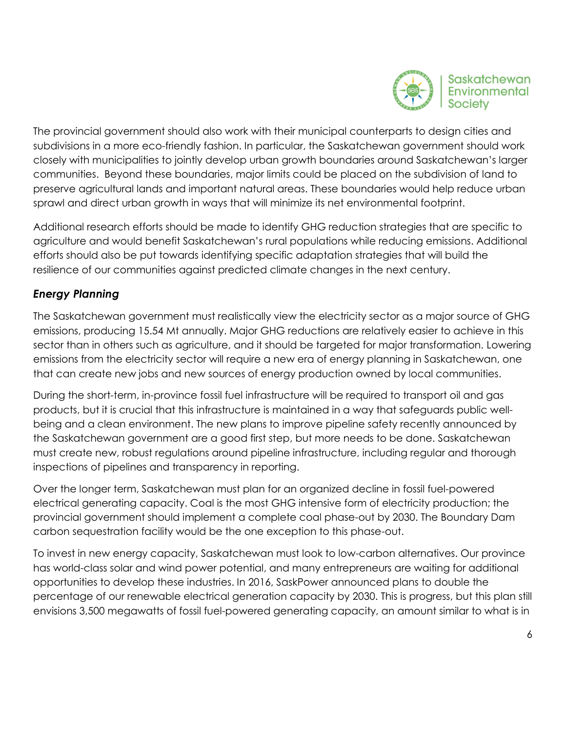

The provincial government should also work with their municipal counterparts to design cities and subdivisions in a more eco-friendly fashion. In particular, the Saskatchewan government should work closely with municipalities to jointly develop urban growth boundaries around Saskatchewan's larger communities. Beyond these boundaries, major limits could be placed on the subdivision of land to preserve agricultural lands and important natural areas. These boundaries would help reduce urban sprawl and direct urban growth in ways that will minimize its net environmental footprint.

Additional research efforts should be made to identify GHG reduction strategies that are specific to agriculture and would benefit Saskatchewan's rural populations while reducing emissions. Additional efforts should also be put towards identifying specific adaptation strategies that will build the resilience of our communities against predicted climate changes in the next century.

### *Energy Planning*

The Saskatchewan government must realistically view the electricity sector as a major source of GHG emissions, producing 15.54 Mt annually. Major GHG reductions are relatively easier to achieve in this sector than in others such as agriculture, and it should be targeted for major transformation. Lowering emissions from the electricity sector will require a new era of energy planning in Saskatchewan, one that can create new jobs and new sources of energy production owned by local communities.

During the short-term, in-province fossil fuel infrastructure will be required to transport oil and gas products, but it is crucial that this infrastructure is maintained in a way that safeguards public wellbeing and a clean environment. The new plans to improve pipeline safety recently announced by the Saskatchewan government are a good first step, but more needs to be done. Saskatchewan must create new, robust regulations around pipeline infrastructure, including regular and thorough inspections of pipelines and transparency in reporting.

Over the longer term, Saskatchewan must plan for an organized decline in fossil fuel-powered electrical generating capacity. Coal is the most GHG intensive form of electricity production; the provincial government should implement a complete coal phase-out by 2030. The Boundary Dam carbon sequestration facility would be the one exception to this phase-out.

To invest in new energy capacity, Saskatchewan must look to low-carbon alternatives. Our province has world-class solar and wind power potential, and many entrepreneurs are waiting for additional opportunities to develop these industries. In 2016, SaskPower announced plans to double the percentage of our renewable electrical generation capacity by 2030. This is progress, but this plan still envisions 3,500 megawatts of fossil fuel-powered generating capacity, an amount similar to what is in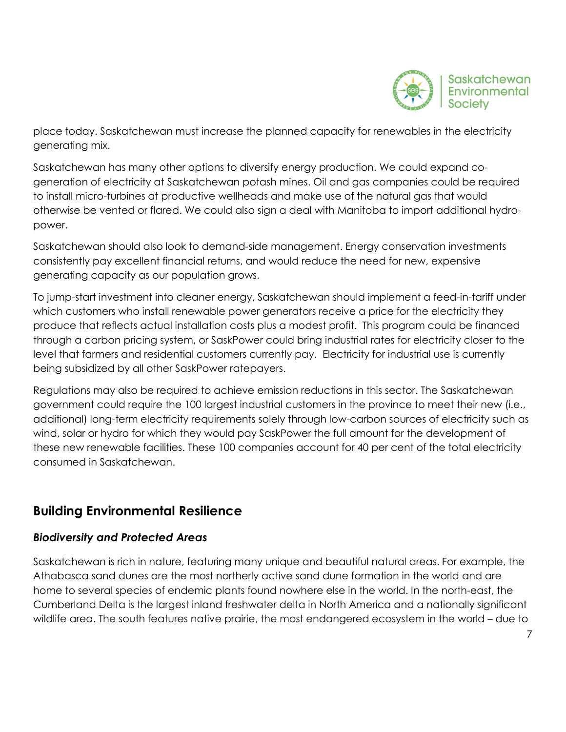

place today. Saskatchewan must increase the planned capacity for renewables in the electricity generating mix.

Saskatchewan has many other options to diversify energy production. We could expand cogeneration of electricity at Saskatchewan potash mines. Oil and gas companies could be required to install micro-turbines at productive wellheads and make use of the natural gas that would otherwise be vented or flared. We could also sign a deal with Manitoba to import additional hydropower.

Saskatchewan should also look to demand-side management. Energy conservation investments consistently pay excellent financial returns, and would reduce the need for new, expensive generating capacity as our population grows.

To jump-start investment into cleaner energy, Saskatchewan should implement a feed-in-tariff under which customers who install renewable power generators receive a price for the electricity they produce that reflects actual installation costs plus a modest profit. This program could be financed through a carbon pricing system, or SaskPower could bring industrial rates for electricity closer to the level that farmers and residential customers currently pay. Electricity for industrial use is currently being subsidized by all other SaskPower ratepayers.

Regulations may also be required to achieve emission reductions in this sector. The Saskatchewan government could require the 100 largest industrial customers in the province to meet their new (i.e., additional) long-term electricity requirements solely through low-carbon sources of electricity such as wind, solar or hydro for which they would pay SaskPower the full amount for the development of these new renewable facilities. These 100 companies account for 40 per cent of the total electricity consumed in Saskatchewan.

# **Building Environmental Resilience**

### *Biodiversity and Protected Areas*

Saskatchewan is rich in nature, featuring many unique and beautiful natural areas. For example, the Athabasca sand dunes are the most northerly active sand dune formation in the world and are home to several species of endemic plants found nowhere else in the world. In the north-east, the Cumberland Delta is the largest inland freshwater delta in North America and a nationally significant wildlife area. The south features native prairie, the most endangered ecosystem in the world – due to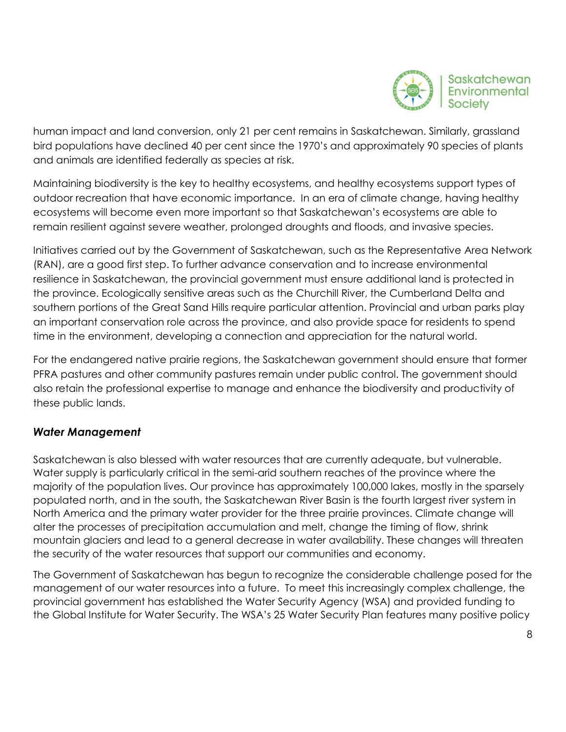

human impact and land conversion, only 21 per cent remains in Saskatchewan. Similarly, grassland bird populations have declined 40 per cent since the 1970's and approximately 90 species of plants and animals are identified federally as species at risk.

Maintaining biodiversity is the key to healthy ecosystems, and healthy ecosystems support types of outdoor recreation that have economic importance. In an era of climate change, having healthy ecosystems will become even more important so that Saskatchewan's ecosystems are able to remain resilient against severe weather, prolonged droughts and floods, and invasive species.

Initiatives carried out by the Government of Saskatchewan, such as the Representative Area Network (RAN), are a good first step. To further advance conservation and to increase environmental resilience in Saskatchewan, the provincial government must ensure additional land is protected in the province. Ecologically sensitive areas such as the Churchill River, the Cumberland Delta and southern portions of the Great Sand Hills require particular attention. Provincial and urban parks play an important conservation role across the province, and also provide space for residents to spend time in the environment, developing a connection and appreciation for the natural world.

For the endangered native prairie regions, the Saskatchewan government should ensure that former PFRA pastures and other community pastures remain under public control. The government should also retain the professional expertise to manage and enhance the biodiversity and productivity of these public lands.

### *Water Management*

Saskatchewan is also blessed with water resources that are currently adequate, but vulnerable. Water supply is particularly critical in the semi-arid southern reaches of the province where the majority of the population lives. Our province has approximately 100,000 lakes, mostly in the sparsely populated north, and in the south, the Saskatchewan River Basin is the fourth largest river system in North America and the primary water provider for the three prairie provinces. Climate change will alter the processes of precipitation accumulation and melt, change the timing of flow, shrink mountain glaciers and lead to a general decrease in water availability. These changes will threaten the security of the water resources that support our communities and economy.

The Government of Saskatchewan has begun to recognize the considerable challenge posed for the management of our water resources into a future. To meet this increasingly complex challenge, the provincial government has established the Water Security Agency (WSA) and provided funding to the Global Institute for Water Security. The WSA's 25 Water Security Plan features many positive policy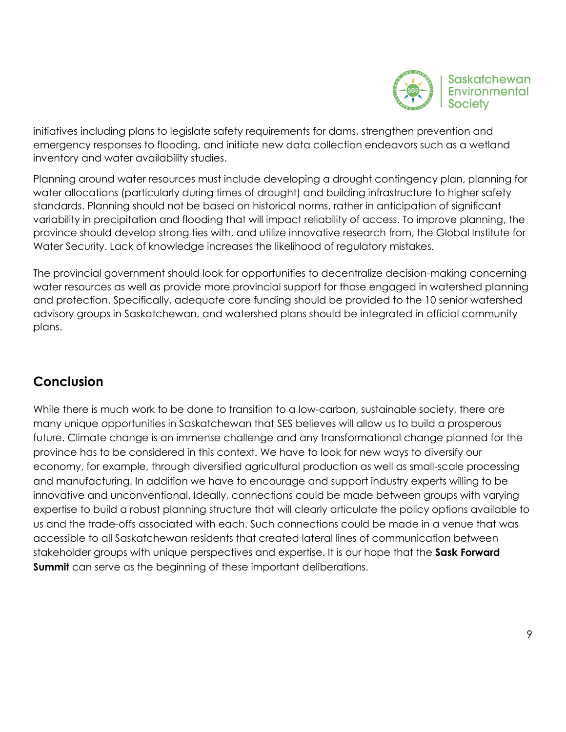

initiatives including plans to legislate safety requirements for dams, strengthen prevention and emergency responses to flooding, and initiate new data collection endeavors such as a wetland inventory and water availability studies.

Planning around water resources must include developing a drought contingency plan, planning for water allocations (particularly during times of drought) and building infrastructure to higher safety standards. Planning should not be based on historical norms, rather in anticipation of significant variability in precipitation and flooding that will impact reliability of access. To improve planning, the province should develop strong ties with, and utilize innovative research from, the Global Institute for Water Security. Lack of knowledge increases the likelihood of regulatory mistakes.

The provincial government should look for opportunities to decentralize decision-making concerning water resources as well as provide more provincial support for those engaged in watershed planning and protection. Specifically, adequate core funding should be provided to the 10 senior watershed advisory groups in Saskatchewan, and watershed plans should be integrated in official community plans.

# **Conclusion**

While there is much work to be done to transition to a low-carbon, sustainable society, there are many unique opportunities in Saskatchewan that SES believes will allow us to build a prosperous future. Climate change is an immense challenge and any transformational change planned for the province has to be considered in this context. We have to look for new ways to diversify our economy, for example, through diversified agricultural production as well as small-scale processing and manufacturing. In addition we have to encourage and support industry experts willing to be innovative and unconventional. Ideally, connections could be made between groups with varying expertise to build a robust planning structure that will clearly articulate the policy options available to us and the trade-offs associated with each. Such connections could be made in a venue that was accessible to all Saskatchewan residents that created lateral lines of communication between stakeholder groups with unique perspectives and expertise. It is our hope that the **Sask Forward Summit** can serve as the beginning of these important deliberations.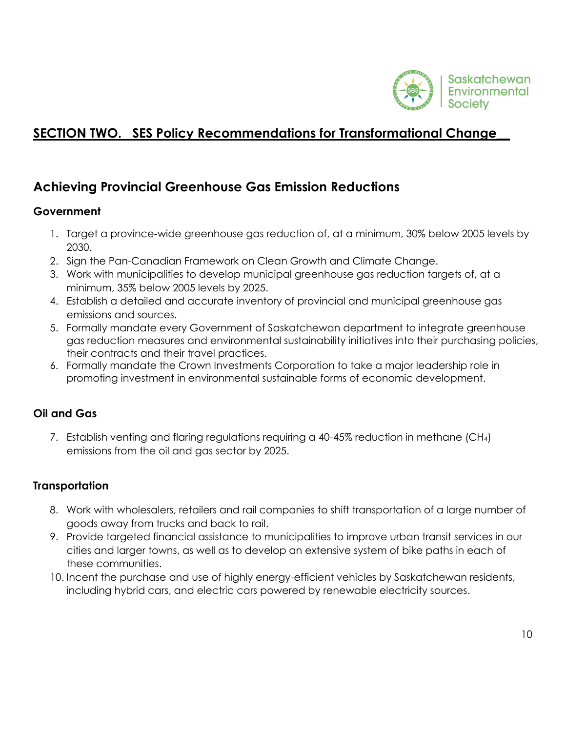

# **SECTION TWO. SES Policy Recommendations for Transformational Change**\_\_

# **Achieving Provincial Greenhouse Gas Emission Reductions**

### **Government**

- 1. Target a province-wide greenhouse gas reduction of, at a minimum, 30% below 2005 levels by 2030.
- 2. Sign the Pan-Canadian Framework on Clean Growth and Climate Change.
- 3. Work with municipalities to develop municipal greenhouse gas reduction targets of, at a minimum, 35% below 2005 levels by 2025.
- 4. Establish a detailed and accurate inventory of provincial and municipal greenhouse gas emissions and sources.
- 5. Formally mandate every Government of Saskatchewan department to integrate greenhouse gas reduction measures and environmental sustainability initiatives into their purchasing policies, their contracts and their travel practices.
- 6. Formally mandate the Crown Investments Corporation to take a major leadership role in promoting investment in environmental sustainable forms of economic development.

### **Oil and Gas**

7. Establish venting and flaring regulations requiring a 40-45% reduction in methane (CH4) emissions from the oil and gas sector by 2025.

### **Transportation**

- 8. Work with wholesalers, retailers and rail companies to shift transportation of a large number of goods away from trucks and back to rail.
- 9. Provide targeted financial assistance to municipalities to improve urban transit services in our cities and larger towns, as well as to develop an extensive system of bike paths in each of these communities.
- 10. Incent the purchase and use of highly energy-efficient vehicles by Saskatchewan residents, including hybrid cars, and electric cars powered by renewable electricity sources.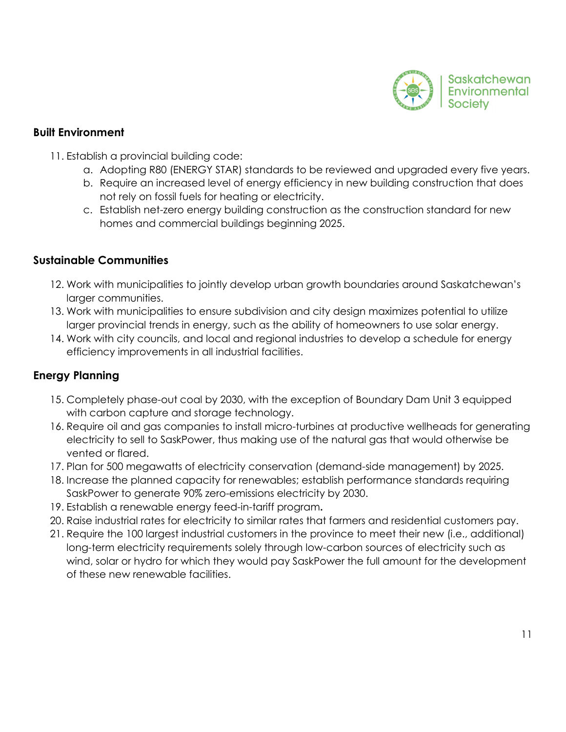

#### **Built Environment**

- 11. Establish a provincial building code:
	- a. Adopting R80 (ENERGY STAR) standards to be reviewed and upgraded every five years.
	- b. Require an increased level of energy efficiency in new building construction that does not rely on fossil fuels for heating or electricity.
	- c. Establish net-zero energy building construction as the construction standard for new homes and commercial buildings beginning 2025.

#### **Sustainable Communities**

- 12. Work with municipalities to jointly develop urban growth boundaries around Saskatchewan's larger communities.
- 13. Work with municipalities to ensure subdivision and city design maximizes potential to utilize larger provincial trends in energy, such as the ability of homeowners to use solar energy.
- 14. Work with city councils, and local and regional industries to develop a schedule for energy efficiency improvements in all industrial facilities.

### **Energy Planning**

- 15. Completely phase-out coal by 2030, with the exception of Boundary Dam Unit 3 equipped with carbon capture and storage technology.
- 16. Require oil and gas companies to install micro-turbines at productive wellheads for generating electricity to sell to SaskPower, thus making use of the natural gas that would otherwise be vented or flared.
- 17. Plan for 500 megawatts of electricity conservation (demand-side management) by 2025.
- 18. Increase the planned capacity for renewables; establish performance standards requiring SaskPower to generate 90% zero-emissions electricity by 2030.
- 19. Establish a renewable energy feed-in-tariff program**.**
- 20. Raise industrial rates for electricity to similar rates that farmers and residential customers pay.
- 21. Require the 100 largest industrial customers in the province to meet their new (i.e., additional) long-term electricity requirements solely through low-carbon sources of electricity such as wind, solar or hydro for which they would pay SaskPower the full amount for the development of these new renewable facilities.